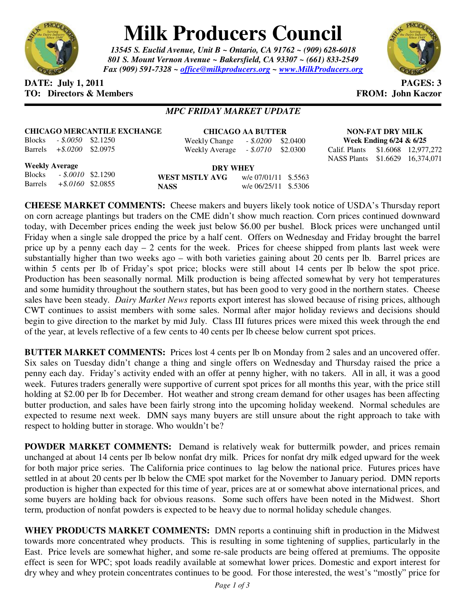

# **Milk Producers Council**

*13545 S. Euclid Avenue, Unit B ~ Ontario, CA 91762 ~ (909) 628-6018 801 S. Mount Vernon Avenue ~ Bakersfield, CA 93307 ~ (661) 833-2549 Fax (909) 591-7328 ~ office@milkproducers.org ~ www.MilkProducers.org*



## **DATE: July 1, 2011 PAGES: 3 TO: Directors & Members TO: Piccore All Members FROM: John Kaczor**

## *MPC FRIDAY MARKET UPDATE*

|  | <b>CHICAGO MERCANTILE EXCHANGE</b> |
|--|------------------------------------|
|  |                                    |

Blocks *- \$.0050* \$2.1250 Barrels *+\$.0200* \$2.0975 **CHICAGO AA BUTTER**

Weekly Change *- \$.0200* \$2.0400 Weekly Average *- \$.0710* \$2.0300

**NON-FAT DRY MILK Week Ending 6/24 & 6/25**  Calif. Plants \$1.6068 12,977,272

NASS Plants \$1.6629 16,374,071

**Weekly Average**

Blocks *- \$.0010* \$2.1290 Barrels *+\$.0160* \$2.0855

**DRY WHEY WEST MSTLY AVG** w/e 07/01/11 \$.5563 **NASS** w/e 06/25/11 \$.5306

**CHEESE MARKET COMMENTS:** Cheese makers and buyers likely took notice of USDA's Thursday report on corn acreage plantings but traders on the CME didn't show much reaction. Corn prices continued downward today, with December prices ending the week just below \$6.00 per bushel. Block prices were unchanged until Friday when a single sale dropped the price by a half cent. Offers on Wednesday and Friday brought the barrel price up by a penny each day  $-2$  cents for the week. Prices for cheese shipped from plants last week were substantially higher than two weeks ago – with both varieties gaining about 20 cents per lb. Barrel prices are within 5 cents per lb of Friday's spot price; blocks were still about 14 cents per lb below the spot price. Production has been seasonally normal. Milk production is being affected somewhat by very hot temperatures and some humidity throughout the southern states, but has been good to very good in the northern states. Cheese sales have been steady. *Dairy Market News* reports export interest has slowed because of rising prices, although CWT continues to assist members with some sales. Normal after major holiday reviews and decisions should begin to give direction to the market by mid July. Class III futures prices were mixed this week through the end of the year, at levels reflective of a few cents to 40 cents per lb cheese below current spot prices.

**BUTTER MARKET COMMENTS:** Prices lost 4 cents per lb on Monday from 2 sales and an uncovered offer. Six sales on Tuesday didn't change a thing and single offers on Wednesday and Thursday raised the price a penny each day. Friday's activity ended with an offer at penny higher, with no takers. All in all, it was a good week. Futures traders generally were supportive of current spot prices for all months this year, with the price still holding at \$2.00 per lb for December. Hot weather and strong cream demand for other usages has been affecting butter production, and sales have been fairly strong into the upcoming holiday weekend. Normal schedules are expected to resume next week. DMN says many buyers are still unsure about the right approach to take with respect to holding butter in storage. Who wouldn't be?

**POWDER MARKET COMMENTS:** Demand is relatively weak for buttermilk powder, and prices remain unchanged at about 14 cents per lb below nonfat dry milk. Prices for nonfat dry milk edged upward for the week for both major price series. The California price continues to lag below the national price. Futures prices have settled in at about 20 cents per lb below the CME spot market for the November to January period. DMN reports production is higher than expected for this time of year, prices are at or somewhat above international prices, and some buyers are holding back for obvious reasons. Some such offers have been noted in the Midwest. Short term, production of nonfat powders is expected to be heavy due to normal holiday schedule changes.

**WHEY PRODUCTS MARKET COMMENTS:** DMN reports a continuing shift in production in the Midwest towards more concentrated whey products. This is resulting in some tightening of supplies, particularly in the East. Price levels are somewhat higher, and some re-sale products are being offered at premiums. The opposite effect is seen for WPC; spot loads readily available at somewhat lower prices. Domestic and export interest for dry whey and whey protein concentrates continues to be good. For those interested, the west's "mostly" price for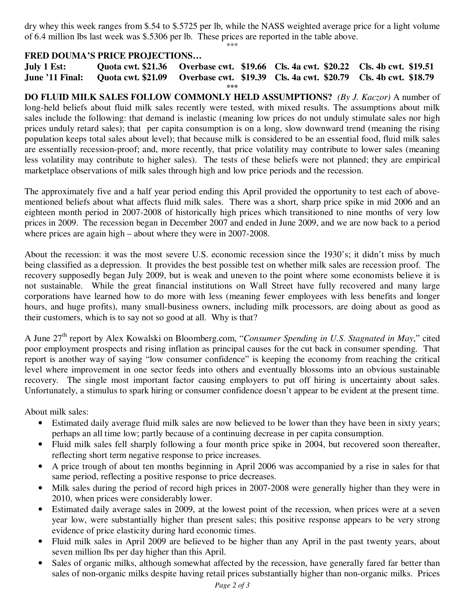dry whey this week ranges from \$.54 to \$.5725 per lb, while the NASS weighted average price for a light volume of 6.4 million lbs last week was \$.5306 per lb. These prices are reported in the table above.

#### \*\*\*

### **FRED DOUMA'S PRICE PROJECTIONS…**

**July 1 Est: Quota cwt. \$21.36 Overbase cwt. \$19.66 Cls. 4a cwt. \$20.22 Cls. 4b cwt. \$19.51 June '11 Final: Quota cwt. \$21.09 Overbase cwt. \$19.39 Cls. 4a cwt. \$20.79 Cls. 4b cwt. \$18.79 \*\*\*** 

**DO FLUID MILK SALES FOLLOW COMMONLY HELD ASSUMPTIONS?** *(By J. Kaczor)* A number of long-held beliefs about fluid milk sales recently were tested, with mixed results. The assumptions about milk sales include the following: that demand is inelastic (meaning low prices do not unduly stimulate sales nor high prices unduly retard sales); that per capita consumption is on a long, slow downward trend (meaning the rising population keeps total sales about level); that because milk is considered to be an essential food, fluid milk sales are essentially recession-proof; and, more recently, that price volatility may contribute to lower sales (meaning less volatility may contribute to higher sales). The tests of these beliefs were not planned; they are empirical marketplace observations of milk sales through high and low price periods and the recession.

The approximately five and a half year period ending this April provided the opportunity to test each of abovementioned beliefs about what affects fluid milk sales. There was a short, sharp price spike in mid 2006 and an eighteen month period in 2007-2008 of historically high prices which transitioned to nine months of very low prices in 2009. The recession began in December 2007 and ended in June 2009, and we are now back to a period where prices are again high – about where they were in 2007-2008.

About the recession: it was the most severe U.S. economic recession since the 1930's; it didn't miss by much being classified as a depression. It provides the best possible test on whether milk sales are recession proof. The recovery supposedly began July 2009, but is weak and uneven to the point where some economists believe it is not sustainable. While the great financial institutions on Wall Street have fully recovered and many large corporations have learned how to do more with less (meaning fewer employees with less benefits and longer hours, and huge profits), many small-business owners, including milk processors, are doing about as good as their customers, which is to say not so good at all. Why is that?

A June 27th report by Alex Kowalski on Bloomberg.com, "*Consumer Spending in U.S. Stagnated in May*," cited poor employment prospects and rising inflation as principal causes for the cut back in consumer spending. That report is another way of saying "low consumer confidence" is keeping the economy from reaching the critical level where improvement in one sector feeds into others and eventually blossoms into an obvious sustainable recovery. The single most important factor causing employers to put off hiring is uncertainty about sales. Unfortunately, a stimulus to spark hiring or consumer confidence doesn't appear to be evident at the present time.

About milk sales:

- Estimated daily average fluid milk sales are now believed to be lower than they have been in sixty years; perhaps an all time low; partly because of a continuing decrease in per capita consumption.
- Fluid milk sales fell sharply following a four month price spike in 2004, but recovered soon thereafter, reflecting short term negative response to price increases.
- A price trough of about ten months beginning in April 2006 was accompanied by a rise in sales for that same period, reflecting a positive response to price decreases.
- Milk sales during the period of record high prices in 2007-2008 were generally higher than they were in 2010, when prices were considerably lower.
- Estimated daily average sales in 2009, at the lowest point of the recession, when prices were at a seven year low, were substantially higher than present sales; this positive response appears to be very strong evidence of price elasticity during hard economic times.
- Fluid milk sales in April 2009 are believed to be higher than any April in the past twenty years, about seven million lbs per day higher than this April.
- Sales of organic milks, although somewhat affected by the recession, have generally fared far better than sales of non-organic milks despite having retail prices substantially higher than non-organic milks. Prices